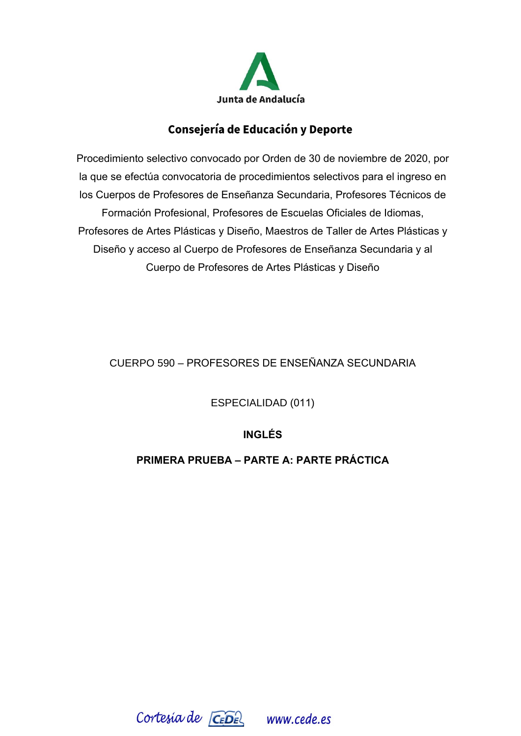

# Consejería de Educación y Deporte

Procedimiento selectivo convocado por Orden de 30 de noviembre de 2020, por la que se efectúa convocatoria de procedimientos selectivos para el ingreso en los Cuerpos de Profesores de Enseñanza Secundaria, Profesores Técnicos de Formación Profesional, Profesores de Escuelas Oficiales de Idiomas, Profesores de Artes Plásticas y Diseño, Maestros de Taller de Artes Plásticas y Diseño y acceso al Cuerpo de Profesores de Enseñanza Secundaria y al Cuerpo de Profesores de Artes Plásticas y Diseño

## CUERPO 590 – PROFESORES DE ENSEÑANZA SECUNDARIA

## ESPECIALIDAD (011)

## **INGLÉS**

## **PRIMERA PRUEBA – PARTE A: PARTE PRÁCTICA**

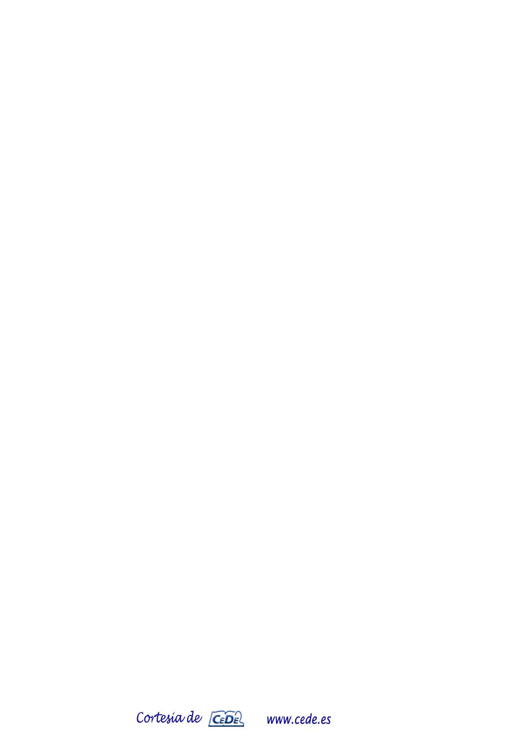Cortesia de CEDE www.cede.es

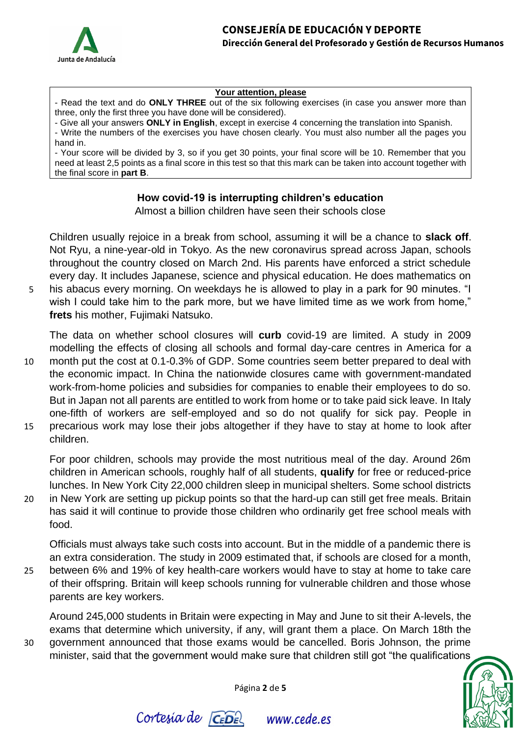

#### **Your attention, please**

- Read the text and do **ONLY THREE** out of the six following exercises (in case you answer more than three, only the first three you have done will be considered).

- Give all your answers **ONLY in English**, except in exercise 4 concerning the translation into Spanish.

- Write the numbers of the exercises you have chosen clearly. You must also number all the pages you hand in.

- Your score will be divided by 3, so if you get 30 points, your final score will be 10. Remember that you need at least 2,5 points as a final score in this test so that this mark can be taken into account together with the final score in **part B**.

#### **How covid-19 is interrupting children's education**

Almost a billion children have seen their schools close

Children usually rejoice in a break from school, assuming it will be a chance to **slack off**. Not Ryu, a nine-year-old in Tokyo. As the new coronavirus spread across Japan, schools throughout the country closed on March 2nd. His parents have enforced a strict schedule every day. It includes Japanese, science and physical education. He does mathematics on

5 his abacus every morning. On weekdays he is allowed to play in a park for 90 minutes. "I wish I could take him to the park more, but we have limited time as we work from home," **frets** his mother, Fujimaki Natsuko.

The data on whether school closures will **curb** covid-19 are limited. A study in 2009 modelling the effects of closing all schools and formal day-care centres in America for a

- 10 month put the cost at 0.1-0.3% of GDP. Some countries seem better prepared to deal with the economic impact. In China the nationwide closures came with government-mandated work-from-home policies and subsidies for companies to enable their employees to do so. But in Japan not all parents are entitled to work from home or to take paid sick leave. In Italy one-fifth of workers are self-employed and so do not qualify for sick pay. People in 15 precarious work may lose their jobs altogether if they have to stay at home to look after
- children.

For poor children, schools may provide the most nutritious meal of the day. Around 26m children in American schools, roughly half of all students, **qualify** for free or reduced-price lunches. In New York City 22,000 children sleep in municipal shelters. Some school districts

20 in New York are setting up pickup points so that the hard-up can still get free meals. Britain has said it will continue to provide those children who ordinarily get free school meals with food.

Officials must always take such costs into account. But in the middle of a pandemic there is an extra consideration. The study in 2009 estimated that, if schools are closed for a month, 25 between 6% and 19% of key health-care workers would have to stay at home to take care of their offspring. Britain will keep schools running for vulnerable children and those whose parents are key workers.

Around 245,000 students in Britain were expecting in May and June to sit their A-levels, the exams that determine which university, if any, will grant them a place. On March 18th the 30 government announced that those exams would be cancelled. Boris Johnson, the prime

minister, said that the government would make sure that children still got "the qualifications



Página **2** de **5**

Cortesia de CEDE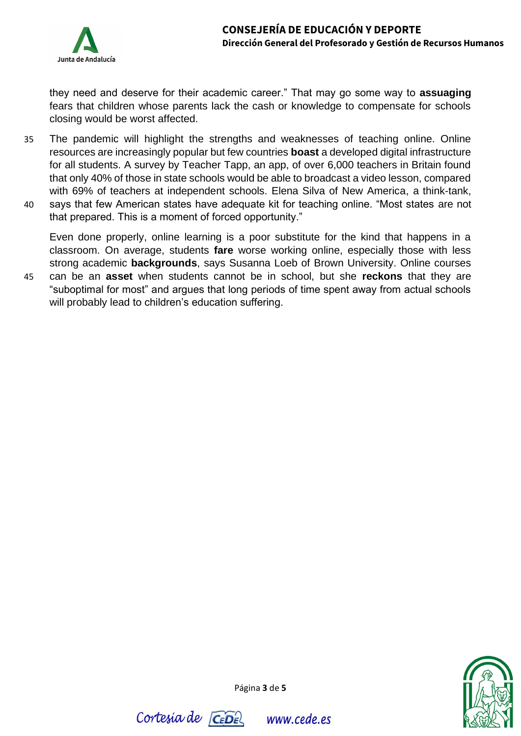

they need and deserve for their academic career." That may go some way to **assuaging** fears that children whose parents lack the cash or knowledge to compensate for schools closing would be worst affected.

- 35 The pandemic will highlight the strengths and weaknesses of teaching online. Online resources are increasingly popular but few countries **boast** a developed digital infrastructure for all students. A survey by Teacher Tapp, an app, of over 6,000 teachers in Britain found that only 40% of those in state schools would be able to broadcast a video lesson, compared with 69% of teachers at independent schools. Elena Silva of New America, a think-tank,
- 40 says that few American states have adequate kit for teaching online. "Most states are not that prepared. This is a moment of forced opportunity."

Even done properly, online learning is a poor substitute for the kind that happens in a classroom. On average, students **fare** worse working online, especially those with less strong academic **backgrounds**, says Susanna Loeb of Brown University. Online courses

45 can be an **asset** when students cannot be in school, but she **reckons** that they are "suboptimal for most" and argues that long periods of time spent away from actual schools will probably lead to children's education suffering.



Cortesia de CEDEL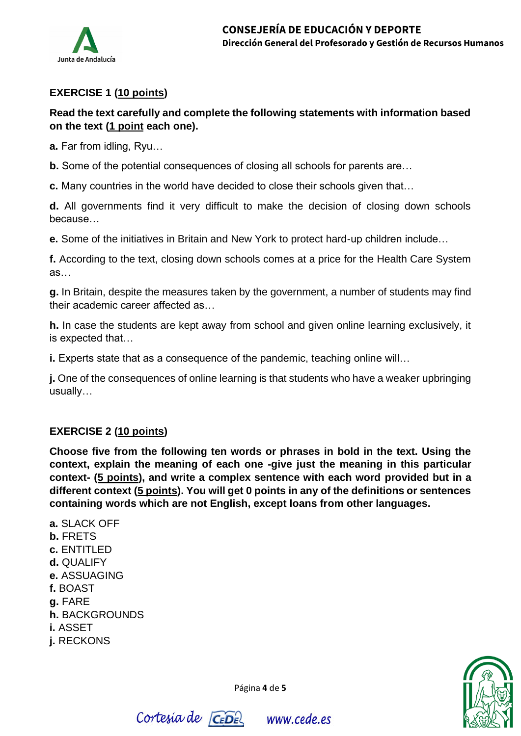

## **EXERCISE 1 (10 points)**

### **Read the text carefully and complete the following statements with information based on the text (1 point each one).**

**a.** Far from idling, Ryu…

**b.** Some of the potential consequences of closing all schools for parents are…

**c.** Many countries in the world have decided to close their schools given that…

**d.** All governments find it very difficult to make the decision of closing down schools because…

**e.** Some of the initiatives in Britain and New York to protect hard-up children include…

**f.** According to the text, closing down schools comes at a price for the Health Care System as…

**g.** In Britain, despite the measures taken by the government, a number of students may find their academic career affected as…

**h.** In case the students are kept away from school and given online learning exclusively, it is expected that…

**i.** Experts state that as a consequence of the pandemic, teaching online will…

**j.** One of the consequences of online learning is that students who have a weaker upbringing usually…

## **EXERCISE 2 (10 points)**

**Choose five from the following ten words or phrases in bold in the text. Using the context, explain the meaning of each one -give just the meaning in this particular context- (5 points), and write a complex sentence with each word provided but in a different context (5 points). You will get 0 points in any of the definitions or sentences containing words which are not English, except loans from other languages.**

- **a.** SLACK OFF
- **b.** FRETS
- **c.** ENTITLED
- **d.** QUALIFY
- **e.** ASSUAGING
- **f.** BOAST
- **g.** FARE
- **h.** BACKGROUNDS
- **i.** ASSET
- **j.** RECKONS



Página **4** de **5**

Cortesia de CEDEL